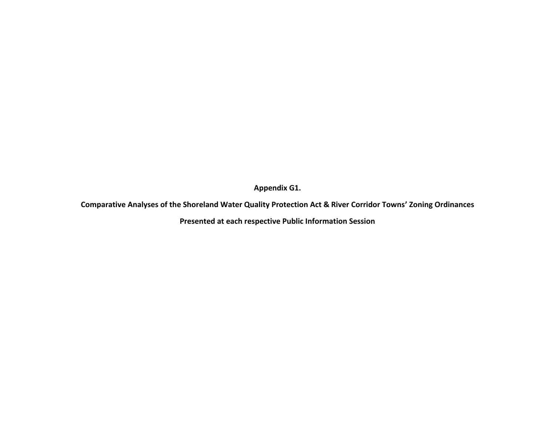**Appendix G1.** 

**Comparative Analyses of the Shoreland Water Quality Protection Act & River Corridor Towns' Zoning Ordinances**

**Presented at each respective Public Information Session**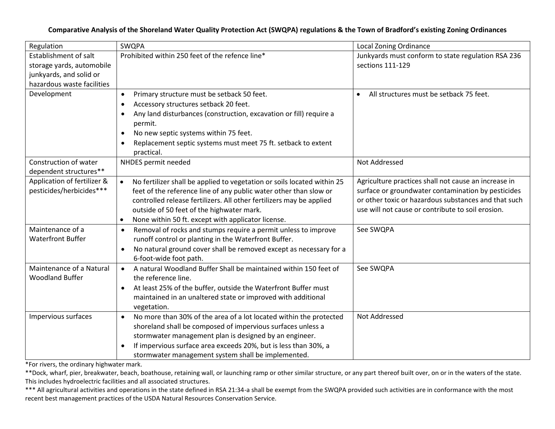## **Comparative Analysis of the Shoreland Water Quality Protection Act (SWQPA) regulations & the Town of Bradford's existing Zoning Ordinances**

| Regulation                  | SWQPA                                                                                                                               | <b>Local Zoning Ordinance</b>                                                                              |
|-----------------------------|-------------------------------------------------------------------------------------------------------------------------------------|------------------------------------------------------------------------------------------------------------|
| Establishment of salt       | Prohibited within 250 feet of the refence line*                                                                                     | Junkyards must conform to state regulation RSA 236                                                         |
| storage yards, automobile   |                                                                                                                                     | sections 111-129                                                                                           |
| junkyards, and solid or     |                                                                                                                                     |                                                                                                            |
| hazardous waste facilities  |                                                                                                                                     |                                                                                                            |
| Development                 | Primary structure must be setback 50 feet.<br>$\bullet$                                                                             | All structures must be setback 75 feet.                                                                    |
|                             | Accessory structures setback 20 feet.<br>$\bullet$                                                                                  |                                                                                                            |
|                             | Any land disturbances (construction, excavation or fill) require a<br>$\bullet$                                                     |                                                                                                            |
|                             | permit.                                                                                                                             |                                                                                                            |
|                             | No new septic systems within 75 feet.<br>$\bullet$                                                                                  |                                                                                                            |
|                             | Replacement septic systems must meet 75 ft. setback to extent<br>$\bullet$<br>practical.                                            |                                                                                                            |
| Construction of water       | NHDES permit needed                                                                                                                 | Not Addressed                                                                                              |
| dependent structures**      |                                                                                                                                     |                                                                                                            |
| Application of fertilizer & | No fertilizer shall be applied to vegetation or soils located within 25<br>$\bullet$                                                | Agriculture practices shall not cause an increase in                                                       |
| pesticides/herbicides***    | feet of the reference line of any public water other than slow or                                                                   | surface or groundwater contamination by pesticides<br>or other toxic or hazardous substances and that such |
|                             | controlled release fertilizers. All other fertilizers may be applied                                                                | use will not cause or contribute to soil erosion.                                                          |
|                             | outside of 50 feet of the highwater mark.                                                                                           |                                                                                                            |
| Maintenance of a            | None within 50 ft. except with applicator license.<br>$\bullet$                                                                     | See SWQPA                                                                                                  |
| <b>Waterfront Buffer</b>    | Removal of rocks and stumps require a permit unless to improve<br>$\bullet$<br>runoff control or planting in the Waterfront Buffer. |                                                                                                            |
|                             | No natural ground cover shall be removed except as necessary for a<br>$\bullet$                                                     |                                                                                                            |
|                             | 6-foot-wide foot path.                                                                                                              |                                                                                                            |
| Maintenance of a Natural    | A natural Woodland Buffer Shall be maintained within 150 feet of<br>$\bullet$                                                       | See SWQPA                                                                                                  |
| <b>Woodland Buffer</b>      | the reference line.                                                                                                                 |                                                                                                            |
|                             | At least 25% of the buffer, outside the Waterfront Buffer must<br>$\bullet$                                                         |                                                                                                            |
|                             | maintained in an unaltered state or improved with additional                                                                        |                                                                                                            |
|                             | vegetation.                                                                                                                         |                                                                                                            |
| Impervious surfaces         | No more than 30% of the area of a lot located within the protected<br>$\bullet$                                                     | Not Addressed                                                                                              |
|                             | shoreland shall be composed of impervious surfaces unless a                                                                         |                                                                                                            |
|                             | stormwater management plan is designed by an engineer.                                                                              |                                                                                                            |
|                             | If impervious surface area exceeds 20%, but is less than 30%, a<br>$\bullet$                                                        |                                                                                                            |
|                             | stormwater management system shall be implemented.                                                                                  |                                                                                                            |

\*For rivers, the ordinary highwater mark.

\*\*Dock, wharf, pier, breakwater, beach, boathouse, retaining wall, or launching ramp or other similar structure, or any part thereof built over, on or in the waters of the state. This includes hydroelectric facilities and all associated structures.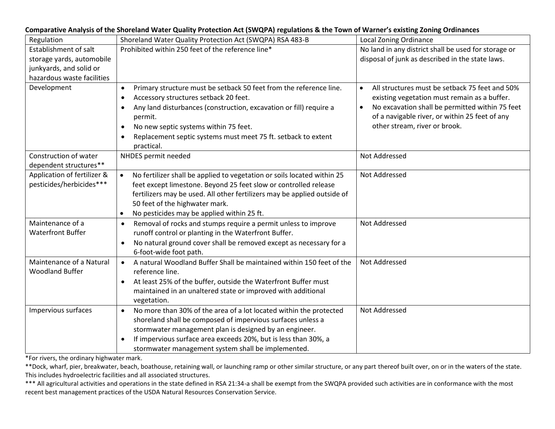|                                                         | Comparative Analysis of the Shoreland Water Quality Protection Act (SWQPA) regulations & the Town of Warner S existing Zoning Ordinances                                                                                                                                                                                                                                              |                                                                                                                                                                                                                                                                |
|---------------------------------------------------------|---------------------------------------------------------------------------------------------------------------------------------------------------------------------------------------------------------------------------------------------------------------------------------------------------------------------------------------------------------------------------------------|----------------------------------------------------------------------------------------------------------------------------------------------------------------------------------------------------------------------------------------------------------------|
| Regulation                                              | Shoreland Water Quality Protection Act (SWQPA) RSA 483-B                                                                                                                                                                                                                                                                                                                              | <b>Local Zoning Ordinance</b>                                                                                                                                                                                                                                  |
| Establishment of salt                                   | Prohibited within 250 feet of the reference line*                                                                                                                                                                                                                                                                                                                                     | No land in any district shall be used for storage or                                                                                                                                                                                                           |
| storage yards, automobile                               |                                                                                                                                                                                                                                                                                                                                                                                       | disposal of junk as described in the state laws.                                                                                                                                                                                                               |
| junkyards, and solid or                                 |                                                                                                                                                                                                                                                                                                                                                                                       |                                                                                                                                                                                                                                                                |
| hazardous waste facilities                              |                                                                                                                                                                                                                                                                                                                                                                                       |                                                                                                                                                                                                                                                                |
| Development                                             | Primary structure must be setback 50 feet from the reference line.<br>$\bullet$<br>Accessory structures setback 20 feet.<br>$\bullet$<br>Any land disturbances (construction, excavation or fill) require a<br>$\bullet$<br>permit.<br>No new septic systems within 75 feet.<br>$\bullet$<br>Replacement septic systems must meet 75 ft. setback to extent<br>$\bullet$<br>practical. | All structures must be setback 75 feet and 50%<br>$\bullet$<br>existing vegetation must remain as a buffer.<br>No excavation shall be permitted within 75 feet<br>$\bullet$<br>of a navigable river, or within 25 feet of any<br>other stream, river or brook. |
| Construction of water                                   | NHDES permit needed                                                                                                                                                                                                                                                                                                                                                                   | Not Addressed                                                                                                                                                                                                                                                  |
| dependent structures**                                  |                                                                                                                                                                                                                                                                                                                                                                                       |                                                                                                                                                                                                                                                                |
| Application of fertilizer &<br>pesticides/herbicides*** | No fertilizer shall be applied to vegetation or soils located within 25<br>$\bullet$<br>feet except limestone. Beyond 25 feet slow or controlled release<br>fertilizers may be used. All other fertilizers may be applied outside of<br>50 feet of the highwater mark.<br>No pesticides may be applied within 25 ft.<br>$\bullet$                                                     | Not Addressed                                                                                                                                                                                                                                                  |
| Maintenance of a<br><b>Waterfront Buffer</b>            | Removal of rocks and stumps require a permit unless to improve<br>$\bullet$<br>runoff control or planting in the Waterfront Buffer.<br>No natural ground cover shall be removed except as necessary for a<br>$\bullet$<br>6-foot-wide foot path.                                                                                                                                      | Not Addressed                                                                                                                                                                                                                                                  |
| Maintenance of a Natural<br><b>Woodland Buffer</b>      | A natural Woodland Buffer Shall be maintained within 150 feet of the<br>$\bullet$<br>reference line.<br>At least 25% of the buffer, outside the Waterfront Buffer must<br>$\bullet$<br>maintained in an unaltered state or improved with additional<br>vegetation.                                                                                                                    | Not Addressed                                                                                                                                                                                                                                                  |
| Impervious surfaces                                     | No more than 30% of the area of a lot located within the protected<br>$\bullet$<br>shoreland shall be composed of impervious surfaces unless a<br>stormwater management plan is designed by an engineer.<br>If impervious surface area exceeds 20%, but is less than 30%, a<br>$\bullet$<br>stormwater management system shall be implemented.                                        | Not Addressed                                                                                                                                                                                                                                                  |

### **Comparative Analysis of the Shoreland Water Quality Protection Act (SWQPA) regulations & the Town of Warner's existing Zoning Ordinances**

\*For rivers, the ordinary highwater mark.

\*\*Dock, wharf, pier, breakwater, beach, boathouse, retaining wall, or launching ramp or other similar structure, or any part thereof built over, on or in the waters of the state. This includes hydroelectric facilities and all associated structures.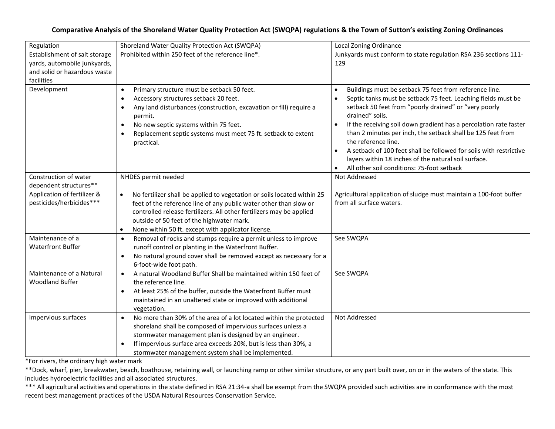# **Comparative Analysis of the Shoreland Water Quality Protection Act (SWQPA) regulations & the Town of Sutton's existing Zoning Ordinances**

| Regulation                                                                                                  | Shoreland Water Quality Protection Act (SWQPA)                                                                                                                                                                                                                                                                                                                | Local Zoning Ordinance                                                                                                                                                                                                                                                                                                                                                                                                                                                                                                                                               |
|-------------------------------------------------------------------------------------------------------------|---------------------------------------------------------------------------------------------------------------------------------------------------------------------------------------------------------------------------------------------------------------------------------------------------------------------------------------------------------------|----------------------------------------------------------------------------------------------------------------------------------------------------------------------------------------------------------------------------------------------------------------------------------------------------------------------------------------------------------------------------------------------------------------------------------------------------------------------------------------------------------------------------------------------------------------------|
| Establishment of salt storage<br>yards, automobile junkyards,<br>and solid or hazardous waste<br>facilities | Prohibited within 250 feet of the reference line*.                                                                                                                                                                                                                                                                                                            | Junkyards must conform to state regulation RSA 236 sections 111-<br>129                                                                                                                                                                                                                                                                                                                                                                                                                                                                                              |
| Development                                                                                                 | Primary structure must be setback 50 feet.<br>$\bullet$<br>Accessory structures setback 20 feet.<br>$\bullet$<br>Any land disturbances (construction, excavation or fill) require a<br>$\bullet$<br>permit.<br>No new septic systems within 75 feet.<br>$\bullet$<br>Replacement septic systems must meet 75 ft. setback to extent<br>$\bullet$<br>practical. | Buildings must be setback 75 feet from reference line.<br>$\bullet$<br>Septic tanks must be setback 75 feet. Leaching fields must be<br>$\bullet$<br>setback 50 feet from "poorly drained" or "very poorly<br>drained" soils.<br>If the receiving soil down gradient has a percolation rate faster<br>than 2 minutes per inch, the setback shall be 125 feet from<br>the reference line.<br>A setback of 100 feet shall be followed for soils with restrictive<br>layers within 18 inches of the natural soil surface.<br>All other soil conditions: 75-foot setback |
| Construction of water<br>dependent structures**                                                             | NHDES permit needed                                                                                                                                                                                                                                                                                                                                           | Not Addressed                                                                                                                                                                                                                                                                                                                                                                                                                                                                                                                                                        |
| Application of fertilizer &<br>pesticides/herbicides***                                                     | No fertilizer shall be applied to vegetation or soils located within 25<br>$\bullet$<br>feet of the reference line of any public water other than slow or<br>controlled release fertilizers. All other fertilizers may be applied<br>outside of 50 feet of the highwater mark.<br>None within 50 ft. except with applicator license.<br>$\bullet$             | Agricultural application of sludge must maintain a 100-foot buffer<br>from all surface waters.                                                                                                                                                                                                                                                                                                                                                                                                                                                                       |
| Maintenance of a<br><b>Waterfront Buffer</b>                                                                | Removal of rocks and stumps require a permit unless to improve<br>$\bullet$<br>runoff control or planting in the Waterfront Buffer.<br>No natural ground cover shall be removed except as necessary for a<br>$\bullet$<br>6-foot-wide foot path.                                                                                                              | See SWQPA                                                                                                                                                                                                                                                                                                                                                                                                                                                                                                                                                            |
| Maintenance of a Natural<br><b>Woodland Buffer</b>                                                          | A natural Woodland Buffer Shall be maintained within 150 feet of<br>$\bullet$<br>the reference line.<br>At least 25% of the buffer, outside the Waterfront Buffer must<br>$\bullet$<br>maintained in an unaltered state or improved with additional<br>vegetation.                                                                                            | See SWQPA                                                                                                                                                                                                                                                                                                                                                                                                                                                                                                                                                            |
| Impervious surfaces                                                                                         | No more than 30% of the area of a lot located within the protected<br>$\bullet$<br>shoreland shall be composed of impervious surfaces unless a<br>stormwater management plan is designed by an engineer.<br>If impervious surface area exceeds 20%, but is less than 30%, a<br>$\bullet$<br>stormwater management system shall be implemented.                | Not Addressed                                                                                                                                                                                                                                                                                                                                                                                                                                                                                                                                                        |

\*For rivers, the ordinary high water mark

\*\*Dock, wharf, pier, breakwater, beach, boathouse, retaining wall, or launching ramp or other similar structure, or any part built over, on or in the waters of the state. This includes hydroelectric facilities and all associated structures.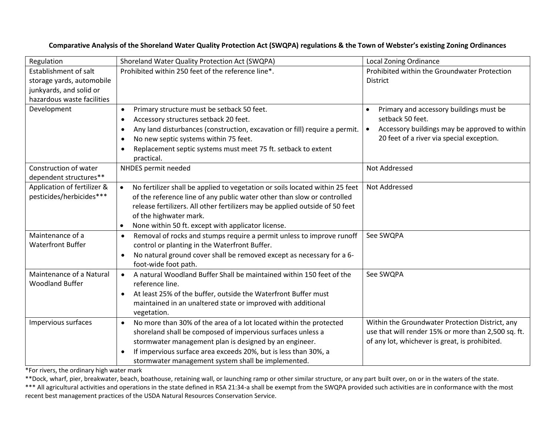| Regulation                  | Shoreland Water Quality Protection Act (SWQPA)                                            | <b>Local Zoning Ordinance</b>                              |
|-----------------------------|-------------------------------------------------------------------------------------------|------------------------------------------------------------|
| Establishment of salt       | Prohibited within 250 feet of the reference line*.                                        | Prohibited within the Groundwater Protection               |
| storage yards, automobile   |                                                                                           | <b>District</b>                                            |
| junkyards, and solid or     |                                                                                           |                                                            |
| hazardous waste facilities  |                                                                                           |                                                            |
| Development                 | Primary structure must be setback 50 feet.<br>$\bullet$                                   | Primary and accessory buildings must be                    |
|                             | Accessory structures setback 20 feet.<br>$\bullet$                                        | setback 50 feet.                                           |
|                             | Any land disturbances (construction, excavation or fill) require a permit.<br>$\bullet$   | Accessory buildings may be approved to within<br>$\bullet$ |
|                             | No new septic systems within 75 feet.<br>$\bullet$                                        | 20 feet of a river via special exception.                  |
|                             | Replacement septic systems must meet 75 ft. setback to extent<br>$\bullet$                |                                                            |
|                             | practical.                                                                                |                                                            |
| Construction of water       | NHDES permit needed                                                                       | Not Addressed                                              |
| dependent structures**      |                                                                                           |                                                            |
| Application of fertilizer & | No fertilizer shall be applied to vegetation or soils located within 25 feet<br>$\bullet$ | Not Addressed                                              |
| pesticides/herbicides***    | of the reference line of any public water other than slow or controlled                   |                                                            |
|                             | release fertilizers. All other fertilizers may be applied outside of 50 feet              |                                                            |
|                             | of the highwater mark.                                                                    |                                                            |
|                             | None within 50 ft. except with applicator license.<br>$\bullet$                           |                                                            |
| Maintenance of a            | Removal of rocks and stumps require a permit unless to improve runoff<br>$\bullet$        | See SWQPA                                                  |
| <b>Waterfront Buffer</b>    | control or planting in the Waterfront Buffer.                                             |                                                            |
|                             | No natural ground cover shall be removed except as necessary for a 6-<br>$\bullet$        |                                                            |
|                             | foot-wide foot path.                                                                      |                                                            |
| Maintenance of a Natural    | A natural Woodland Buffer Shall be maintained within 150 feet of the<br>$\bullet$         | See SWQPA                                                  |
| <b>Woodland Buffer</b>      | reference line.                                                                           |                                                            |
|                             | At least 25% of the buffer, outside the Waterfront Buffer must<br>$\bullet$               |                                                            |
|                             | maintained in an unaltered state or improved with additional                              |                                                            |
|                             | vegetation.                                                                               |                                                            |
| Impervious surfaces         | No more than 30% of the area of a lot located within the protected<br>$\bullet$           | Within the Groundwater Protection District, any            |
|                             | shoreland shall be composed of impervious surfaces unless a                               | use that will render 15% or more than 2,500 sq. ft.        |
|                             | stormwater management plan is designed by an engineer.                                    | of any lot, whichever is great, is prohibited.             |
|                             | If impervious surface area exceeds 20%, but is less than 30%, a<br>$\bullet$              |                                                            |
|                             | stormwater management system shall be implemented.                                        |                                                            |

# **Comparative Analysis of the Shoreland Water Quality Protection Act (SWQPA) regulations & the Town of Webster's existing Zoning Ordinances**

\*For rivers, the ordinary high water mark

\*\*Dock, wharf, pier, breakwater, beach, boathouse, retaining wall, or launching ramp or other similar structure, or any part built over, on or in the waters of the state.